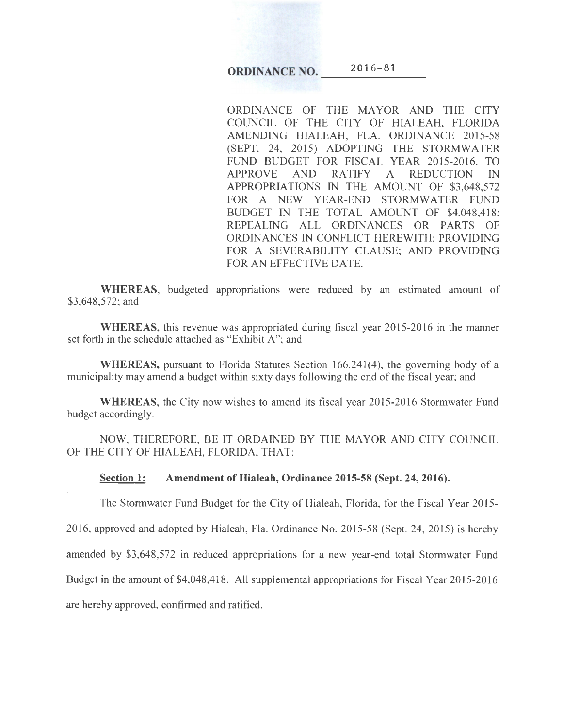## ORDINANCE NO.  $2016-81$

ORDINANCE OF THE MAYOR AND THE CITY COUNCIL OF THE CITY OF HIALEAH, FLORIDA AMENDING HIALEAH, FLA. ORDINANCE 2015-58 (SEPT. 24, 2015) ADOPTING THE STORMWATER FUND BUDGET FOR FISCAL YEAR 2015-2016, TO APPROVE AND RATIFY A REDUCTION IN APPROPRIATIONS IN THE AMOUNT OF \$3,648,572 FOR A NEW YEAR-END STORMWATER FUND BUDGET IN THE TOTAL AMOUNT OF \$4,048,418; REPEALING ALL ORDINANCES OR PARTS OF ORDINANCES IN CONFLICT HEREWITH; PROVIDING FOR A SEVERABILITY CLAUSE; AND PROVIDING FOR AN EFFECTIVE DATE.

WHEREAS, budgeted appropriations were reduced by an estimated amount of \$3,648,572; and

WHEREAS, this revenue was appropriated during fiscal year 2015-2016 in the manner set forth in the schedule attached as "Exhibit A"; and

WHEREAS, pursuant to Florida Statutes Section 166.241(4), the governing body of a municipality may amend a budget within sixty days following the end of the fiscal year; and

WHEREAS, the City now wishes to amend its fiscal year 2015-2016 Stormwater Fund budget accordingly.

NOW, THEREFORE, BE IT ORDAINED BY THE MAYOR AND CITY COUNCIL OF THE CITY OF HIALEAH, FLORIDA, THAT:

Section 1: Amendment of Hialeah, Ordinance 2015-58 (Sept. 24, 2016).

The Stormwater Fund Budget for the City of Hialeah, Florida, for the Fiscal Year 2015-

2016, approved and adopted by Hialeah, Fla. Ordinance No. 2015-58 (Sept. 24, 2015) is hereby

amended by \$3,648,572 in reduced appropriations for a new year-end total Stormwater Fund

Budget in the amount of  $$4,048,418$ . All supplemental appropriations for Fiscal Year 2015-2016

are hereby approved, confirmed and ratified.